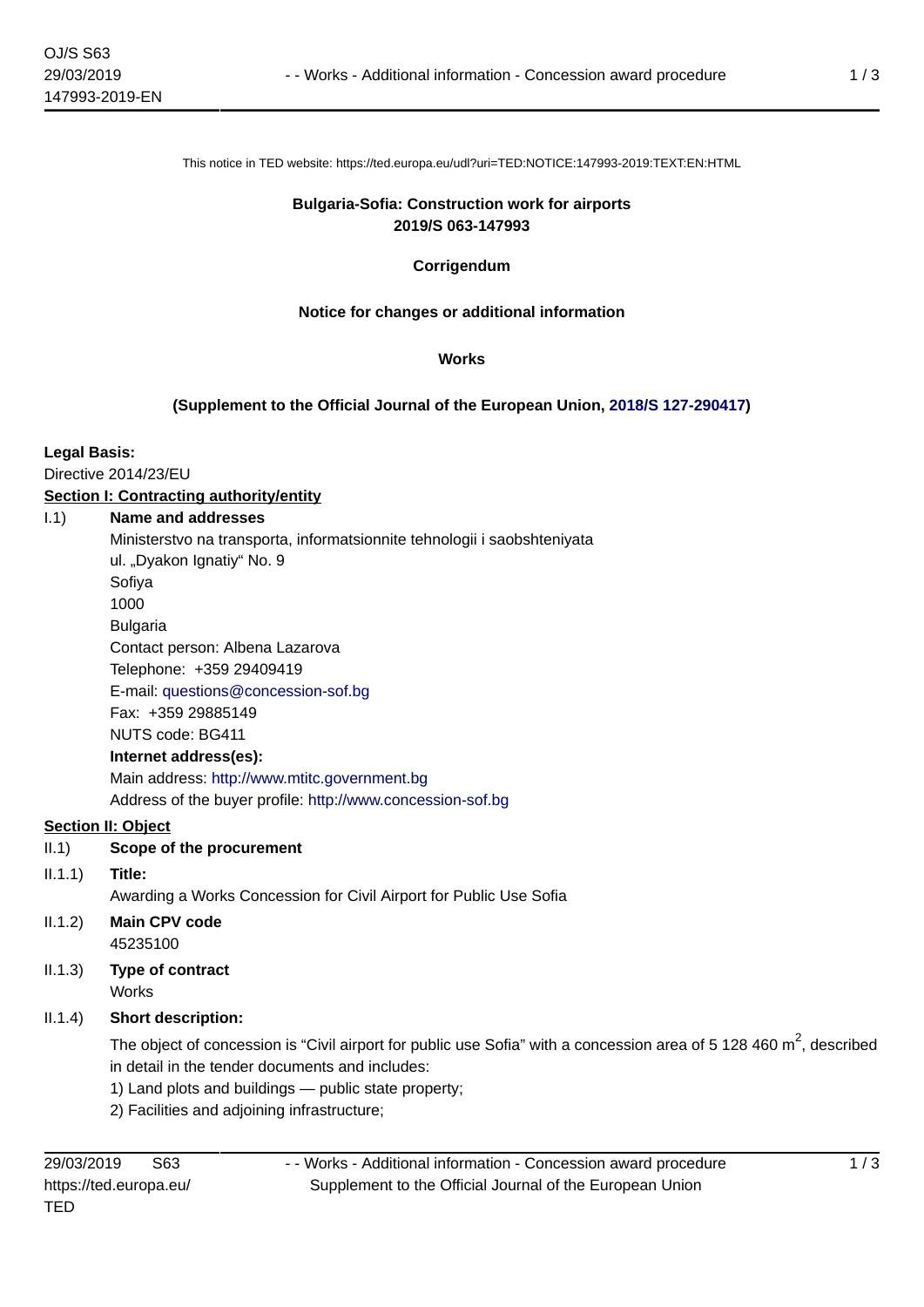This notice in TED website: https://ted.europa.eu/udl?uri=TED:NOTICE:147993-2019:TEXT:EN:HTML

### **Bulgaria-Sofia: Construction work for airports 2019/S 063-147993**

# **Corrigendum**

# **Notice for changes or additional information**

#### **Works**

### **(Supplement to the Official Journal of the European Union, [2018/S 127-290417\)](https://ted.europa.eu/udl?uri=TED:NOTICE:290417-2018:TEXT:EN:HTML)**

### **Legal Basis:**

Directive 2014/23/EU

# **Section I: Contracting authority/entity**

#### I.1) **Name and addresses**

Ministerstvo na transporta, informatsionnite tehnologii i saobshteniyata

ul. "Dyakon Ignatiy" No. 9

Sofiya 1000

Bulgaria

Contact person: Albena Lazarova

Telephone: +359 29409419

E-mail: [questions@concession-sof.bg](mailto:questions@concession-sof.bg) 

Fax: +359 29885149

NUTS code: BG411

# **Internet address(es):**

Main address:<http://www.mtitc.government.bg> Address of the buyer profile: <http://www.concession-sof.bg>

# **Section II: Object**

- II.1) **Scope of the procurement**
- II.1.1) **Title:**
	- Awarding a Works Concession for Civil Airport for Public Use Sofia
- II.1.2) **Main CPV code** 45235100
- II.1.3) **Type of contract** Works
- II.1.4) **Short description:**

The object of concession is "Civil airport for public use Sofia" with a concession area of 5 128 460  $m^2$ , described in detail in the tender documents and includes:

- 1) Land plots and buildings public state property;
- 2) Facilities and adjoining infrastructure;

- - Works - Additional information - Concession award procedure Supplement to the Official Journal of the European Union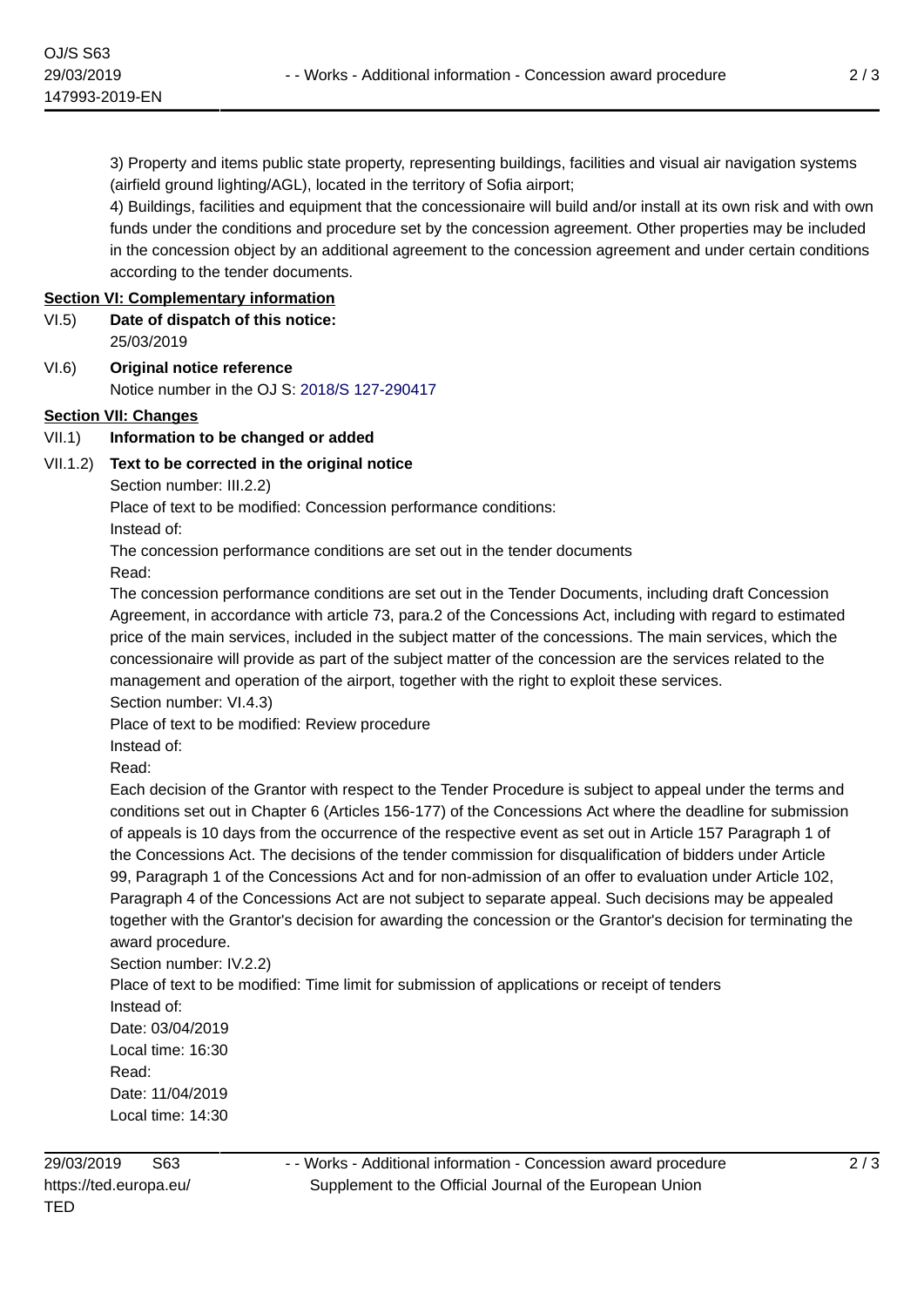3) Property and items public state property, representing buildings, facilities and visual air navigation systems (airfield ground lighting/AGL), located in the territory of Sofia airport;

4) Buildings, facilities and equipment that the concessionaire will build and/or install at its own risk and with own funds under the conditions and procedure set by the concession agreement. Other properties may be included in the concession object by an additional agreement to the concession agreement and under certain conditions according to the tender documents.

#### **Section VI: Complementary information**

- VI.5) **Date of dispatch of this notice:** 25/03/2019
- VI.6) **Original notice reference** Notice number in the OJ S: [2018/S 127-290417](https://ted.europa.eu/udl?uri=TED:NOTICE:290417-2018:TEXT:EN:HTML)

### **Section VII: Changes**

### VII.1) **Information to be changed or added**

### VII.1.2) **Text to be corrected in the original notice**

Section number: III.2.2)

Place of text to be modified: Concession performance conditions:

Instead of:

The concession performance conditions are set out in the tender documents

Read:

The concession performance conditions are set out in the Tender Documents, including draft Concession Agreement, in accordance with article 73, para.2 of the Concessions Act, including with regard to estimated price of the main services, included in the subject matter of the concessions. The main services, which the concessionaire will provide as part of the subject matter of the concession are the services related to the management and operation of the airport, together with the right to exploit these services. Section number: VI.4.3)

Place of text to be modified: Review procedure

Instead of:

Read:

Each decision of the Grantor with respect to the Tender Procedure is subject to appeal under the terms and conditions set out in Chapter 6 (Articles 156-177) of the Concessions Act where the deadline for submission of appeals is 10 days from the occurrence of the respective event as set out in Article 157 Paragraph 1 of the Concessions Act. The decisions of the tender commission for disqualification of bidders under Article 99, Paragraph 1 of the Concessions Act and for non-admission of an offer to evaluation under Article 102, Paragraph 4 of the Concessions Act are not subject to separate appeal. Such decisions may be appealed together with the Grantor's decision for awarding the concession or the Grantor's decision for terminating the award procedure.

Section number: IV.2.2) Place of text to be modified: Time limit for submission of applications or receipt of tenders Instead of: Date: 03/04/2019 Local time: 16:30 Read: Date: 11/04/2019 Local time: 14:30